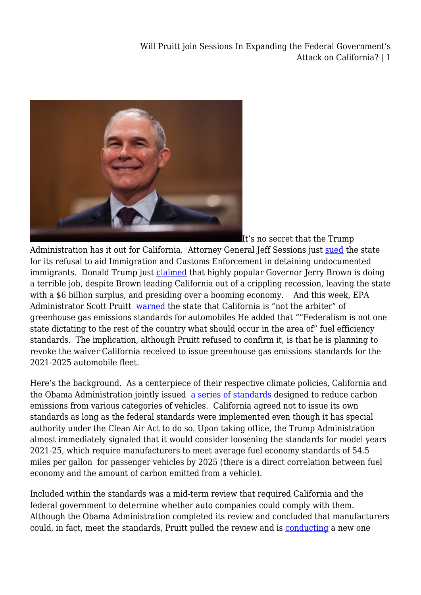

It's no secret that the Trump

Administration has it out for California. Attorney General Jeff Sessions just [sued](https://www.economist.com/blogs/democracyinamerica/2018/03/sessions-versus-california) the state for its refusal to aid Immigration and Customs Enforcement in detaining undocumented immigrants. Donald Trump just [claimed](https://www.washingtonpost.com/news/post-politics/wp/2018/03/13/visiting-california-trump-says-gov-jerry-brown-is-doing-a-terrible-job/?utm_term=.f9b4e111afa1) that highly popular Governor Jerry Brown is doing a terrible job, despite Brown leading California out of a crippling recession, leaving the state with a \$6 billion surplus, and presiding over a booming economy. And this week, EPA Administrator Scott Pruitt [warned](https://www.bloomberg.com/news/articles/2018-03-13/epa-chief-signals-showdown-with-california-on-tailpipe-standards) the state that California is "not the arbiter" of greenhouse gas emissions standards for automobiles He added that ""Federalism is not one state dictating to the rest of the country what should occur in the area of" fuel efficiency standards. The implication, although Pruitt refused to confirm it, is that he is planning to revoke the waiver California received to issue greenhouse gas emissions standards for the 2021-2025 automobile fleet.

Here's the background. As a centerpiece of their respective climate policies, California and the Obama Administration jointly issued [a series of standards](https://www.epa.gov/regulations-emissions-vehicles-and-engines/regulations-greenhouse-gas-emissions-passenger-cars-and) designed to reduce carbon emissions from various categories of vehicles. California agreed not to issue its own standards as long as the federal standards were implemented even though it has special authority under the Clean Air Act to do so. Upon taking office, the Trump Administration almost immediately signaled that it would consider loosening the standards for model years 2021-25, which require manufacturers to meet average fuel economy standards of 54.5 miles per gallon for passenger vehicles by 2025 (there is a direct correlation between fuel economy and the amount of carbon emitted from a vehicle).

Included within the standards was a mid-term review that required California and the federal government to determine whether auto companies could comply with them. Although the Obama Administration completed its review and concluded that manufacturers could, in fact, meet the standards, Pruitt pulled the review and is [conducting](https://www.epa.gov/newsreleases/epa-dot-open-comment-period-reconsideration-ghg-standards-cars-and-light-trucks) a new one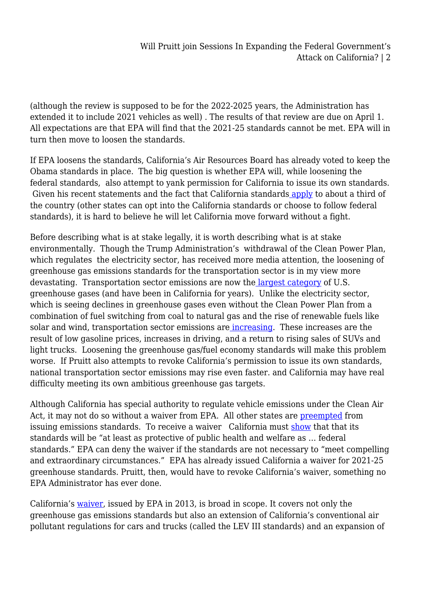(although the review is supposed to be for the 2022-2025 years, the Administration has extended it to include 2021 vehicles as well) . The results of that review are due on April 1. All expectations are that EPA will find that the 2021-25 standards cannot be met. EPA will in turn then move to loosen the standards.

If EPA loosens the standards, California's Air Resources Board has already voted to keep the Obama standards in place. The big question is whether EPA will, while loosening the federal standards, also attempt to yank permission for California to issue its own standards. Given his recent statements and the fact that California standard[s apply](https://www.greencarreports.com/news/1109217_which-states-follow-californias-emission-and-zero-emission-vehicle-rules) to about a third of the country (other states can opt into the California standards or choose to follow federal standards), it is hard to believe he will let California move forward without a fight.

Before describing what is at stake legally, it is worth describing what is at stake environmentally. Though the Trump Administration's withdrawal of the Clean Power Plan, which regulates the electricity sector, has received more media attention, the loosening of greenhouse gas emissions standards for the transportation sector is in my view more devastating. Transportation sector emissions are now the [largest category](https://www.vox.com/energy-and-environment/2018/1/11/16874696/greenhouse-gas-co2-target-2017-paris-trump) of U.S. greenhouse gases (and have been in California for years). Unlike the electricity sector, which is seeing declines in greenhouse gases even without the Clean Power Plan from a combination of fuel switching from coal to natural gas and the rise of renewable fuels like solar and wind, transportation sector emissions ar[e increasing.](https://www.transportation.gov/climate-change-clearinghouse) These increases are the result of low gasoline prices, increases in driving, and a return to rising sales of SUVs and light trucks. Loosening the greenhouse gas/fuel economy standards will make this problem worse. If Pruitt also attempts to revoke California's permission to issue its own standards, national transportation sector emissions may rise even faster. and California may have real difficulty meeting its own ambitious greenhouse gas targets.

Although California has special authority to regulate vehicle emissions under the Clean Air Act, it may not do so without a waiver from EPA. All other states are [preempted](https://www.law.cornell.edu/uscode/text/42/7543) from issuing emissions standards. To receive a waiver California must [show](https://www.law.cornell.edu/uscode/text/42/7543) that that its standards will be "at least as protective of public health and welfare as … federal standards." EPA can deny the waiver if the standards are not necessary to "meet compelling and extraordinary circumstances." EPA has already issued California a waiver for 2021-25 greenhouse standards. Pruitt, then, would have to revoke California's waiver, something no EPA Administrator has ever done.

California's [waiver,](https://www.gpo.gov/fdsys/pkg/FR-2013-01-09/pdf/2013-00181.pdf) issued by EPA in 2013, is broad in scope. It covers not only the greenhouse gas emissions standards but also an extension of California's conventional air pollutant regulations for cars and trucks (called the LEV III standards) and an expansion of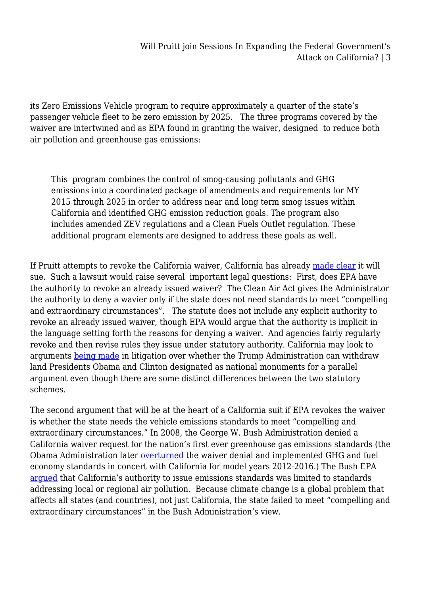its Zero Emissions Vehicle program to require approximately a quarter of the state's passenger vehicle fleet to be zero emission by 2025. The three programs covered by the waiver are intertwined and as EPA found in granting the waiver, designed to reduce both air pollution and greenhouse gas emissions:

This program combines the control of smog-causing pollutants and GHG emissions into a coordinated package of amendments and requirements for MY 2015 through 2025 in order to address near and long term smog issues within California and identified GHG emission reduction goals. The program also includes amended ZEV regulations and a Clean Fuels Outlet regulation. These additional program elements are designed to address these goals as well.

If Pruitt attempts to revoke the California waiver, California has already [made clear](http://www.mcclatchydc.com/news/nation-world/national/article199473529.html) it will sue. Such a lawsuit would raise several important legal questions: First, does EPA have the authority to revoke an already issued waiver? The Clean Air Act gives the Administrator the authority to deny a wavier only if the state does not need standards to meet "compelling and extraordinary circumstances". The statute does not include any explicit authority to revoke an already issued waiver, though EPA would argue that the authority is implicit in the language setting forth the reasons for denying a waiver. And agencies fairly regularly revoke and then revise rules they issue under statutory authority. California may look to arguments [being made](http://legal-planet.org/2017/04/28/national-monuments-presidents-can-create-them-but-only-congress-can-undo-them/) in litigation over whether the Trump Administration can withdraw land Presidents Obama and Clinton designated as national monuments for a parallel argument even though there are some distinct differences between the two statutory schemes.

The second argument that will be at the heart of a California suit if EPA revokes the waiver is whether the state needs the vehicle emissions standards to meet "compelling and extraordinary circumstances." In 2008, the George W. Bush Administration denied a California waiver request for the nation's first ever greenhouse gas emissions standards (the Obama Administration later [overturned](https://www.epa.gov/regulations-emissions-vehicles-and-engines/california-greenhouse-gas-waiver-request) the waiver denial and implemented GHG and fuel economy standards in concert with California for model years 2012-2016.) The Bush EPA [argued](https://www.gpo.gov/fdsys/pkg/FR-2013-01-09/pdf/2013-00181.pdf) that California's authority to issue emissions standards was limited to standards addressing local or regional air pollution. Because climate change is a global problem that affects all states (and countries), not just California, the state failed to meet "compelling and extraordinary circumstances" in the Bush Administration's view.